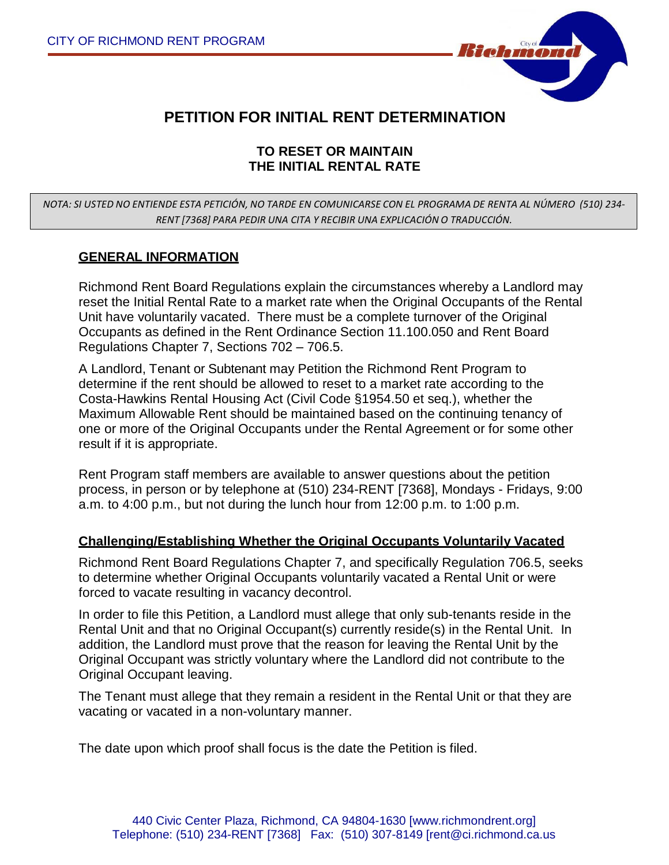

## **PETITION FOR INITIAL RENT DETERMINATION**

#### **TO RESET OR MAINTAIN THE INITIAL RENTAL RATE**

#### *NOTA: SI USTED NO ENTIENDE ESTA PETICIÓN, NO TARDE EN COMUNICARSE CON EL PROGRAMA DE RENTA AL NÚMERO (510) 234- RENT [7368] PARA PEDIR UNA CITA Y RECIBIR UNA EXPLICACIÓN O TRADUCCIÓN.*

#### **GENERAL INFORMATION**

Richmond Rent Board Regulations explain the circumstances whereby a Landlord may reset the Initial Rental Rate to a market rate when the Original Occupants of the Rental Unit have voluntarily vacated. There must be a complete turnover of the Original Occupants as defined in the Rent Ordinance Section 11.100.050 and Rent Board Regulations Chapter 7, Sections 702 – 706.5.

A Landlord, Tenant or Subtenant may Petition the Richmond Rent Program to determine if the rent should be allowed to reset to a market rate according to the Costa-Hawkins Rental Housing Act (Civil Code §1954.50 et seq.), whether the Maximum Allowable Rent should be maintained based on the continuing tenancy of one or more of the Original Occupants under the Rental Agreement or for some other result if it is appropriate.

Rent Program staff members are available to answer questions about the petition process, in person or by telephone at (510) 234-RENT [7368], Mondays - Fridays, 9:00 a.m. to 4:00 p.m., but not during the lunch hour from 12:00 p.m. to 1:00 p.m.

#### **Challenging/Establishing Whether the Original Occupants Voluntarily Vacated**

Richmond Rent Board Regulations Chapter 7, and specifically Regulation 706.5, seeks to determine whether Original Occupants voluntarily vacated a Rental Unit or were forced to vacate resulting in vacancy decontrol.

In order to file this Petition, a Landlord must allege that only sub-tenants reside in the Rental Unit and that no Original Occupant(s) currently reside(s) in the Rental Unit. In addition, the Landlord must prove that the reason for leaving the Rental Unit by the Original Occupant was strictly voluntary where the Landlord did not contribute to the Original Occupant leaving.

The Tenant must allege that they remain a resident in the Rental Unit or that they are vacating or vacated in a non-voluntary manner.

The date upon which proof shall focus is the date the Petition is filed.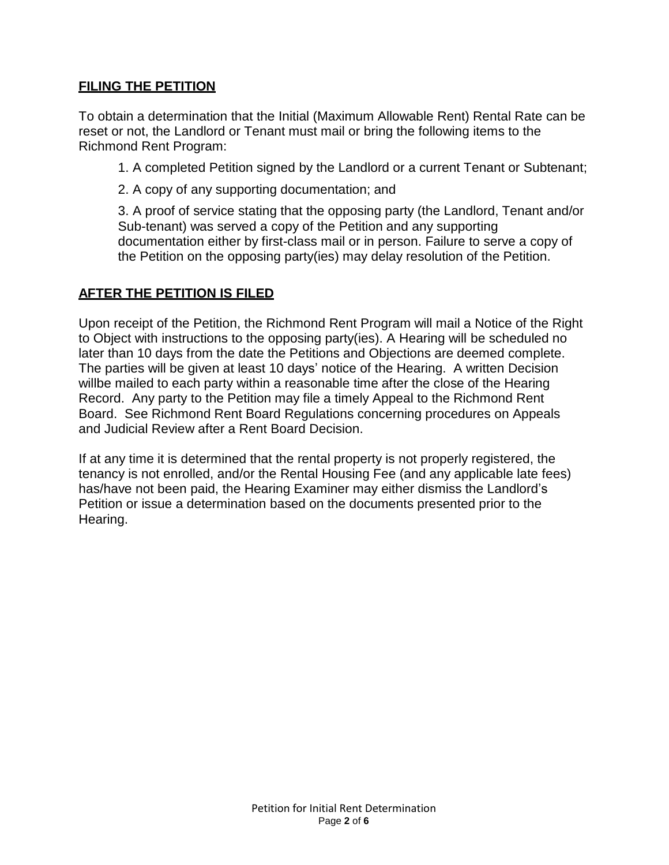## **FILING THE PETITION**

To obtain a determination that the Initial (Maximum Allowable Rent) Rental Rate can be reset or not, the Landlord or Tenant must mail or bring the following items to the Richmond Rent Program:

1. A completed Petition signed by the Landlord or a current Tenant or Subtenant;

2. A copy of any supporting documentation; and

3. A proof of service stating that the opposing party (the Landlord, Tenant and/or Sub-tenant) was served a copy of the Petition and any supporting documentation either by first-class mail or in person. Failure to serve a copy of the Petition on the opposing party(ies) may delay resolution of the Petition.

## **AFTER THE PETITION IS FILED**

Upon receipt of the Petition, the Richmond Rent Program will mail a Notice of the Right to Object with instructions to the opposing party(ies). A Hearing will be scheduled no later than 10 days from the date the Petitions and Objections are deemed complete. The parties will be given at least 10 days' notice of the Hearing. A written Decision willbe mailed to each party within a reasonable time after the close of the Hearing Record. Any party to the Petition may file a timely Appeal to the Richmond Rent Board. See Richmond Rent Board Regulations concerning procedures on Appeals and Judicial Review after a Rent Board Decision.

If at any time it is determined that the rental property is not properly registered, the tenancy is not enrolled, and/or the Rental Housing Fee (and any applicable late fees) has/have not been paid, the Hearing Examiner may either dismiss the Landlord's Petition or issue a determination based on the documents presented prior to the Hearing.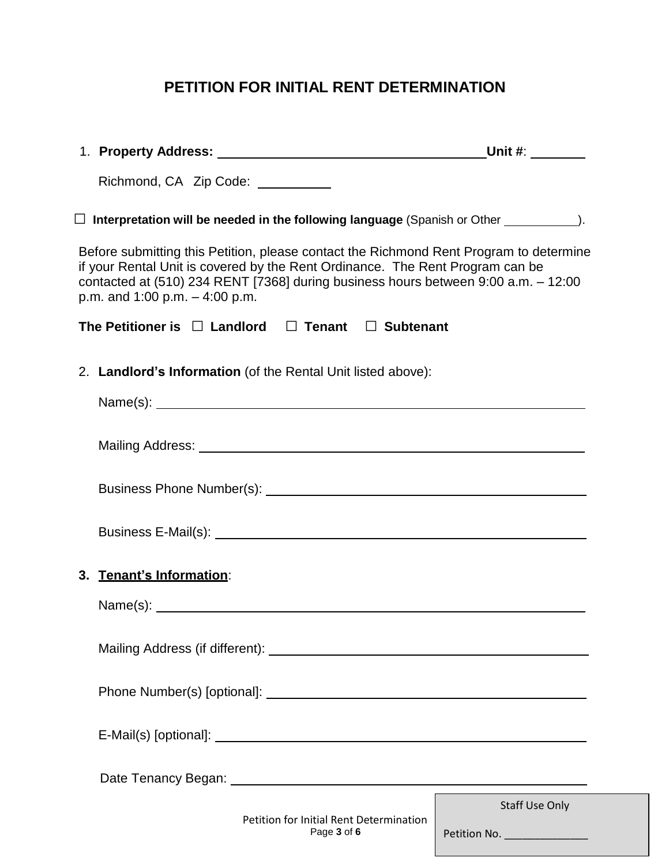# **PETITION FOR INITIAL RENT DETERMINATION**

| Richmond, CA Zip Code: __________ |                                                                                                                                                                                                                                                               |                                                       |
|-----------------------------------|---------------------------------------------------------------------------------------------------------------------------------------------------------------------------------------------------------------------------------------------------------------|-------------------------------------------------------|
|                                   | $\Box$ Interpretation will be needed in the following language (Spanish or Other $\_\_$                                                                                                                                                                       |                                                       |
| p.m. and $1:00$ p.m. $-4:00$ p.m. | Before submitting this Petition, please contact the Richmond Rent Program to determine<br>if your Rental Unit is covered by the Rent Ordinance. The Rent Program can be<br>contacted at (510) 234 RENT [7368] during business hours between 9:00 a.m. - 12:00 |                                                       |
|                                   | The Petitioner is $\Box$ Landlord $\Box$ Tenant $\Box$ Subtenant                                                                                                                                                                                              |                                                       |
|                                   | 2. Landlord's Information (of the Rental Unit listed above):                                                                                                                                                                                                  |                                                       |
|                                   |                                                                                                                                                                                                                                                               |                                                       |
|                                   |                                                                                                                                                                                                                                                               |                                                       |
|                                   |                                                                                                                                                                                                                                                               |                                                       |
|                                   |                                                                                                                                                                                                                                                               |                                                       |
| 3. Tenant's Information:          |                                                                                                                                                                                                                                                               |                                                       |
|                                   | Name(s):                                                                                                                                                                                                                                                      |                                                       |
|                                   |                                                                                                                                                                                                                                                               |                                                       |
|                                   |                                                                                                                                                                                                                                                               |                                                       |
|                                   |                                                                                                                                                                                                                                                               |                                                       |
|                                   |                                                                                                                                                                                                                                                               |                                                       |
|                                   | Petition for Initial Rent Determination<br>Page 3 of 6                                                                                                                                                                                                        | <b>Staff Use Only</b><br>Petition No. _______________ |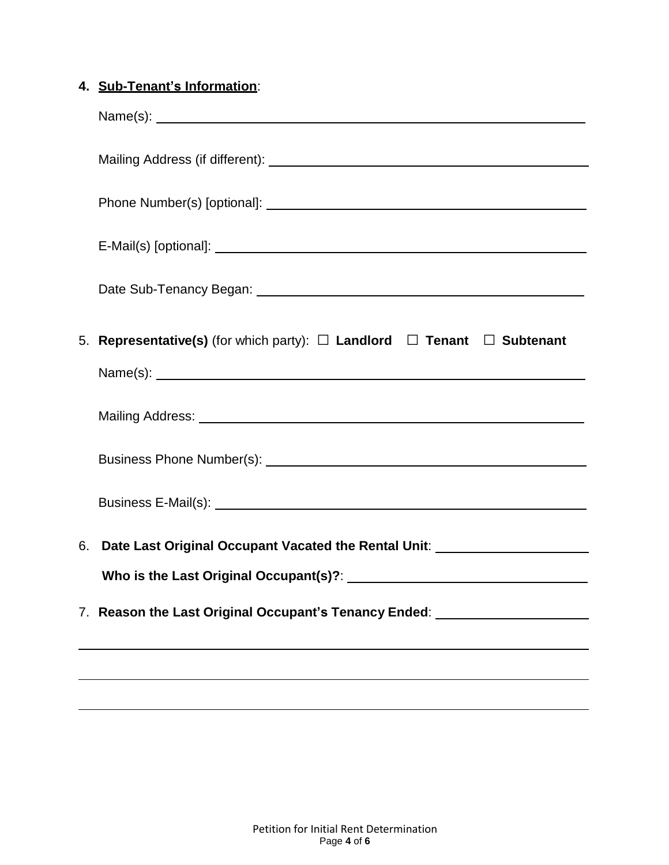# **4. Sub-Tenant's Information**:

|    | 5. Representative(s) (for which party): $\Box$ Landlord $\Box$ Tenant $\Box$ Subtenant |
|----|----------------------------------------------------------------------------------------|
|    |                                                                                        |
|    |                                                                                        |
|    |                                                                                        |
|    |                                                                                        |
| 6. | Date Last Original Occupant Vacated the Rental Unit: ___________________________       |
|    |                                                                                        |
|    |                                                                                        |
|    |                                                                                        |
|    |                                                                                        |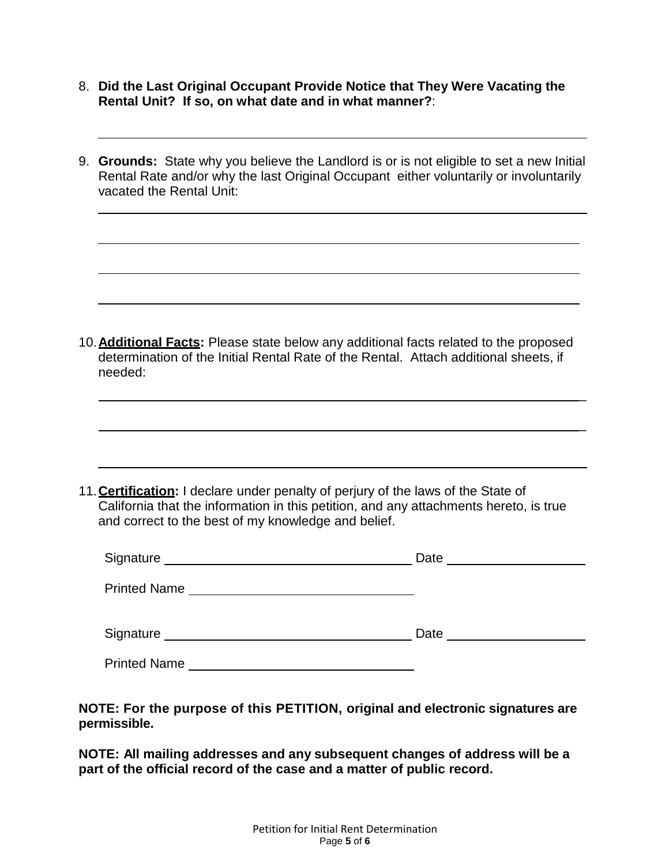- 8. **Did the Last Original Occupant Provide Notice that They Were Vacating the Rental Unit? If so, on what date and in what manner?**:
- 9. **Grounds:** State why you believe the Landlord is or is not eligible to set a new Initial Rental Rate and/or why the last Original Occupant either voluntarily or involuntarily vacated the Rental Unit:

10.**Additional Facts:** Please state below any additional facts related to the proposed determination of the Initial Rental Rate of the Rental. Attach additional sheets, if needed:

 $\overline{a}$ 

 $\overline{a}$ 

11.**Certification:** I declare under penalty of perjury of the laws of the State of California that the information in this petition, and any attachments hereto, is true and correct to the best of my knowledge and belief.

| Signature<br><u> 1989 - Andrea Andrew Maria (h. 1989).</u> | Date |
|------------------------------------------------------------|------|
| <b>Printed Name</b>                                        |      |
| Signature                                                  | Date |
| <b>Printed Name</b>                                        |      |

**NOTE: For the purpose of this PETITION, original and electronic signatures are permissible.**

**NOTE: All mailing addresses and any subsequent changes of address will be a part of the official record of the case and a matter of public record.**